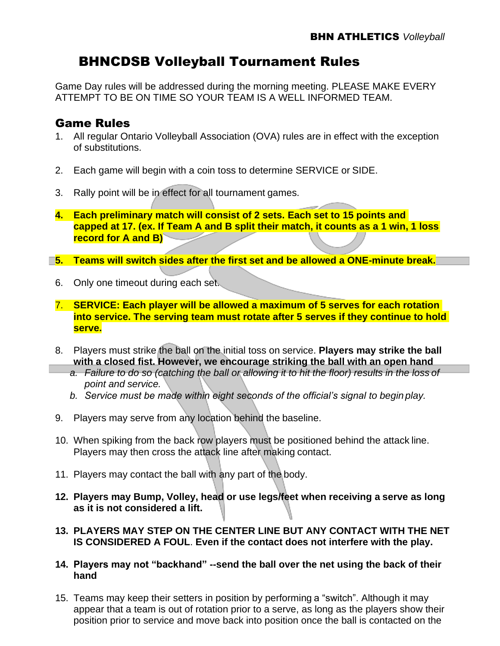# BHNCDSB Volleyball Tournament Rules

Game Day rules will be addressed during the morning meeting. PLEASE MAKE EVERY ATTEMPT TO BE ON TIME SO YOUR TEAM IS A WELL INFORMED TEAM.

#### Game Rules

- 1. All regular Ontario Volleyball Association (OVA) rules are in effect with the exception of substitutions.
- 2. Each game will begin with a coin toss to determine SERVICE or SIDE.
- 3. Rally point will be in effect for all tournament games.
- **4. Each preliminary match will consist of 2 sets. Each set to 15 points and capped at 17. (ex. If Team A and B split their match, it counts as a 1 win, 1 loss record for A and B)**
- **5. Teams will switch sides after the first set and be allowed a ONE-minute break.**
	- 6. Only one timeout during each set.
	- 7. **SERVICE: Each player will be allowed a maximum of 5 serves for each rotation into service. The serving team must rotate after 5 serves if they continue to hold serve.**
	- 8. Players must strike the ball on the initial toss on service. **Players may strike the ball with a closed fist. However, we encourage striking the ball with an open hand**
		- *a. Failure to do so (catching the ball or allowing it to hit the floor) results in the loss of point and service.*
		- *b. Service must be made within eight seconds of the official's signal to begin play.*
	- 9. Players may serve from any location behind the baseline.
	- 10. When spiking from the back row players must be positioned behind the attack line. Players may then cross the attack line after making contact.
	- 11. Players may contact the ball with any part of the body.
	- **12. Players may Bump, Volley, head or use legs/feet when receiving a serve as long as it is not considered a lift.**
	- **13. PLAYERS MAY STEP ON THE CENTER LINE BUT ANY CONTACT WITH THE NET IS CONSIDERED A FOUL**. **Even if the contact does not interfere with the play.**
	- **14. Players may not "backhand" --send the ball over the net using the back of their hand**
	- 15. Teams may keep their setters in position by performing a "switch". Although it may appear that a team is out of rotation prior to a serve, as long as the players show their position prior to service and move back into position once the ball is contacted on the